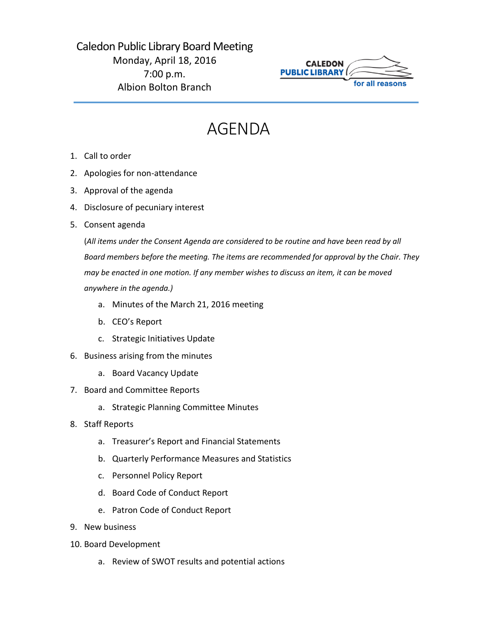Caledon Public Library Board Meeting Monday, April 18, 2016 7:00 p.m. Albion Bolton Branch



## AGENDA

- 1. Call to order
- 2. Apologies for non-attendance
- 3. Approval of the agenda
- 4. Disclosure of pecuniary interest
- 5. Consent agenda

(*All items under the Consent Agenda are considered to be routine and have been read by all Board members before the meeting. The items are recommended for approval by the Chair. They may be enacted in one motion. If any member wishes to discuss an item, it can be moved anywhere in the agenda.)*

- a. Minutes of the March 21, 2016 meeting
- b. CEO's Report
- c. Strategic Initiatives Update
- 6. Business arising from the minutes
	- a. Board Vacancy Update
- 7. Board and Committee Reports
	- a. Strategic Planning Committee Minutes
- 8. Staff Reports
	- a. Treasurer's Report and Financial Statements
	- b. Quarterly Performance Measures and Statistics
	- c. Personnel Policy Report
	- d. Board Code of Conduct Report
	- e. Patron Code of Conduct Report
- 9. New business
- 10. Board Development
	- a. Review of SWOT results and potential actions